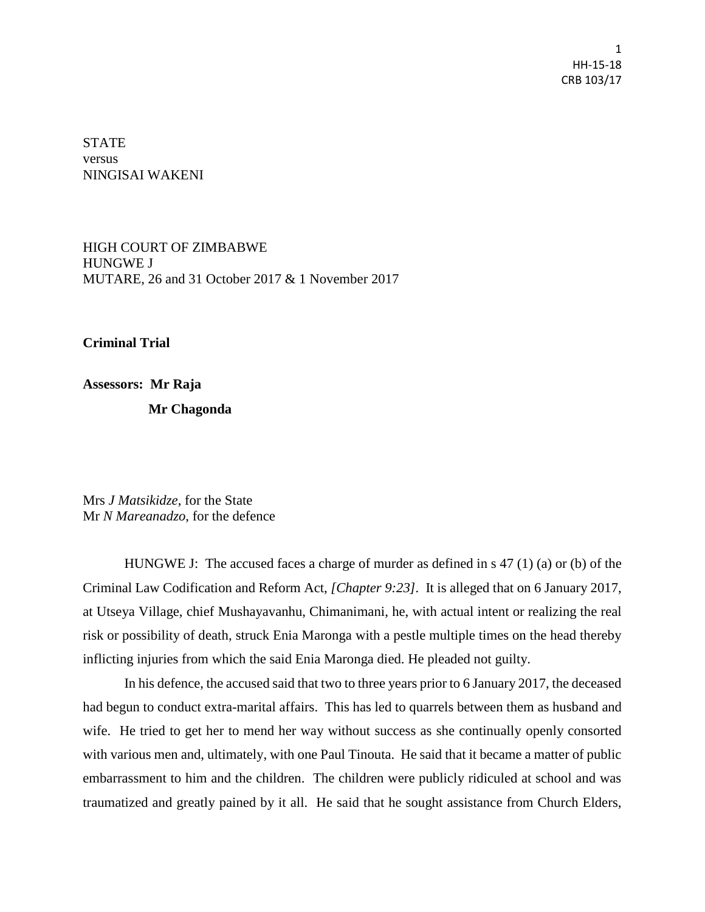1 HH-15-18 CRB 103/17

STATE versus NINGISAI WAKENI

HIGH COURT OF ZIMBABWE HUNGWE J MUTARE, 26 and 31 October 2017 & 1 November 2017

**Criminal Trial**

**Assessors: Mr Raja** 

 **Mr Chagonda**

Mrs *J Matsikidze*, for the State Mr *N Mareanadzo*, for the defence

HUNGWE J: The accused faces a charge of murder as defined in s 47 (1) (a) or (b) of the Criminal Law Codification and Reform Act, *[Chapter 9:23].* It is alleged that on 6 January 2017, at Utseya Village, chief Mushayavanhu, Chimanimani, he, with actual intent or realizing the real risk or possibility of death, struck Enia Maronga with a pestle multiple times on the head thereby inflicting injuries from which the said Enia Maronga died. He pleaded not guilty.

In his defence, the accused said that two to three years prior to 6 January 2017, the deceased had begun to conduct extra-marital affairs. This has led to quarrels between them as husband and wife. He tried to get her to mend her way without success as she continually openly consorted with various men and, ultimately, with one Paul Tinouta. He said that it became a matter of public embarrassment to him and the children. The children were publicly ridiculed at school and was traumatized and greatly pained by it all. He said that he sought assistance from Church Elders,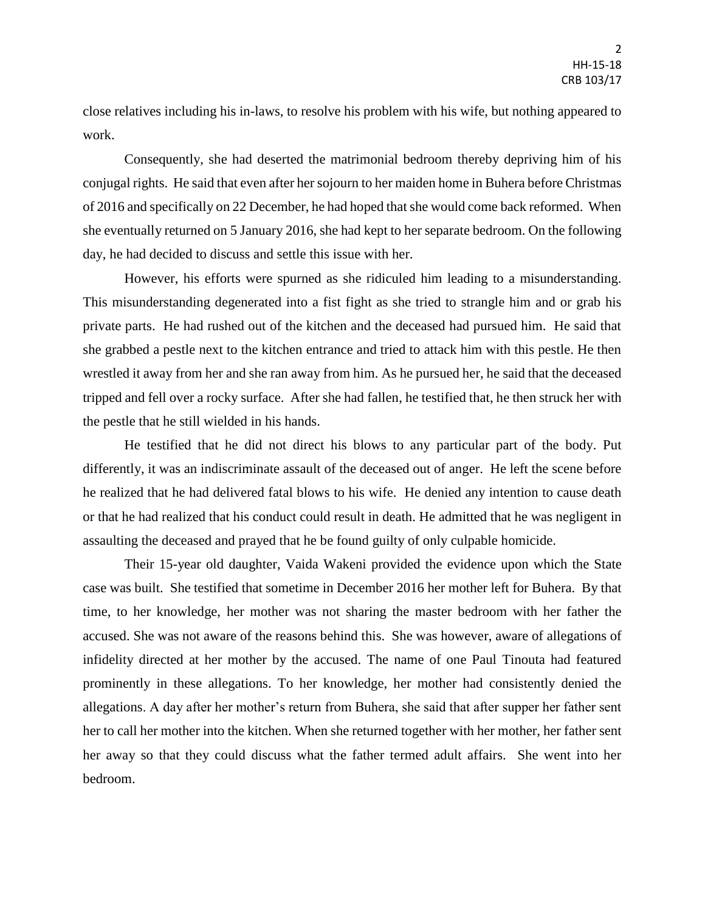close relatives including his in-laws, to resolve his problem with his wife, but nothing appeared to work.

Consequently, she had deserted the matrimonial bedroom thereby depriving him of his conjugal rights. He said that even after her sojourn to her maiden home in Buhera before Christmas of 2016 and specifically on 22 December, he had hoped that she would come back reformed. When she eventually returned on 5 January 2016, she had kept to her separate bedroom. On the following day, he had decided to discuss and settle this issue with her.

However, his efforts were spurned as she ridiculed him leading to a misunderstanding. This misunderstanding degenerated into a fist fight as she tried to strangle him and or grab his private parts. He had rushed out of the kitchen and the deceased had pursued him. He said that she grabbed a pestle next to the kitchen entrance and tried to attack him with this pestle. He then wrestled it away from her and she ran away from him. As he pursued her, he said that the deceased tripped and fell over a rocky surface. After she had fallen, he testified that, he then struck her with the pestle that he still wielded in his hands.

He testified that he did not direct his blows to any particular part of the body. Put differently, it was an indiscriminate assault of the deceased out of anger. He left the scene before he realized that he had delivered fatal blows to his wife. He denied any intention to cause death or that he had realized that his conduct could result in death. He admitted that he was negligent in assaulting the deceased and prayed that he be found guilty of only culpable homicide.

Their 15-year old daughter, Vaida Wakeni provided the evidence upon which the State case was built. She testified that sometime in December 2016 her mother left for Buhera. By that time, to her knowledge, her mother was not sharing the master bedroom with her father the accused. She was not aware of the reasons behind this. She was however, aware of allegations of infidelity directed at her mother by the accused. The name of one Paul Tinouta had featured prominently in these allegations. To her knowledge, her mother had consistently denied the allegations. A day after her mother's return from Buhera, she said that after supper her father sent her to call her mother into the kitchen. When she returned together with her mother, her father sent her away so that they could discuss what the father termed adult affairs. She went into her bedroom.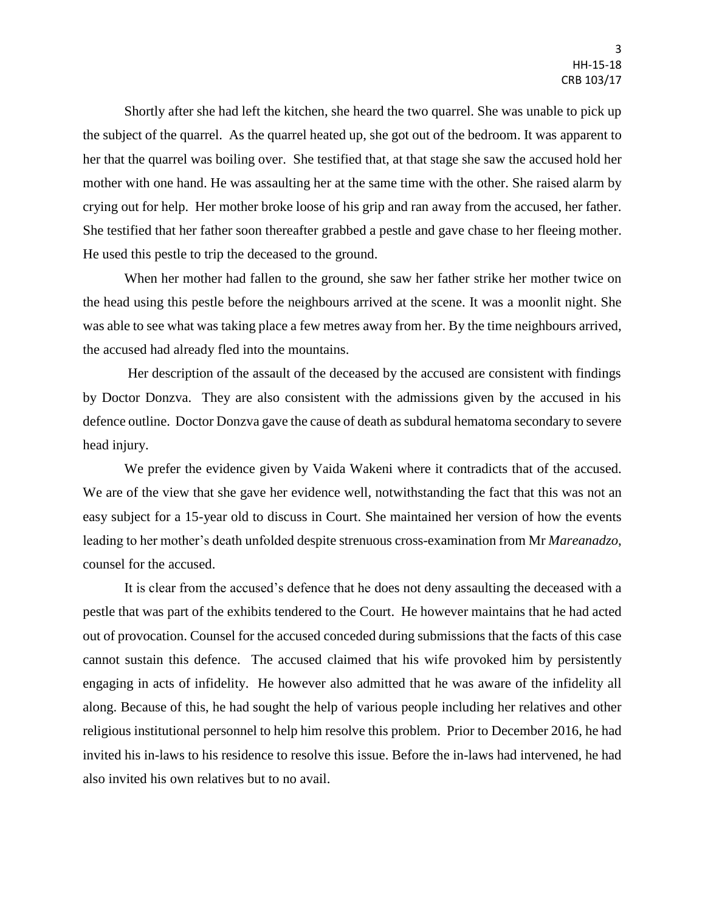Shortly after she had left the kitchen, she heard the two quarrel. She was unable to pick up the subject of the quarrel. As the quarrel heated up, she got out of the bedroom. It was apparent to her that the quarrel was boiling over. She testified that, at that stage she saw the accused hold her mother with one hand. He was assaulting her at the same time with the other. She raised alarm by crying out for help. Her mother broke loose of his grip and ran away from the accused, her father. She testified that her father soon thereafter grabbed a pestle and gave chase to her fleeing mother. He used this pestle to trip the deceased to the ground.

When her mother had fallen to the ground, she saw her father strike her mother twice on the head using this pestle before the neighbours arrived at the scene. It was a moonlit night. She was able to see what was taking place a few metres away from her. By the time neighbours arrived, the accused had already fled into the mountains.

Her description of the assault of the deceased by the accused are consistent with findings by Doctor Donzva. They are also consistent with the admissions given by the accused in his defence outline. Doctor Donzva gave the cause of death as subdural hematoma secondary to severe head injury.

We prefer the evidence given by Vaida Wakeni where it contradicts that of the accused. We are of the view that she gave her evidence well, notwithstanding the fact that this was not an easy subject for a 15-year old to discuss in Court. She maintained her version of how the events leading to her mother's death unfolded despite strenuous cross-examination from Mr *Mareanadzo*, counsel for the accused.

It is clear from the accused's defence that he does not deny assaulting the deceased with a pestle that was part of the exhibits tendered to the Court. He however maintains that he had acted out of provocation. Counsel for the accused conceded during submissions that the facts of this case cannot sustain this defence. The accused claimed that his wife provoked him by persistently engaging in acts of infidelity. He however also admitted that he was aware of the infidelity all along. Because of this, he had sought the help of various people including her relatives and other religious institutional personnel to help him resolve this problem. Prior to December 2016, he had invited his in-laws to his residence to resolve this issue. Before the in-laws had intervened, he had also invited his own relatives but to no avail.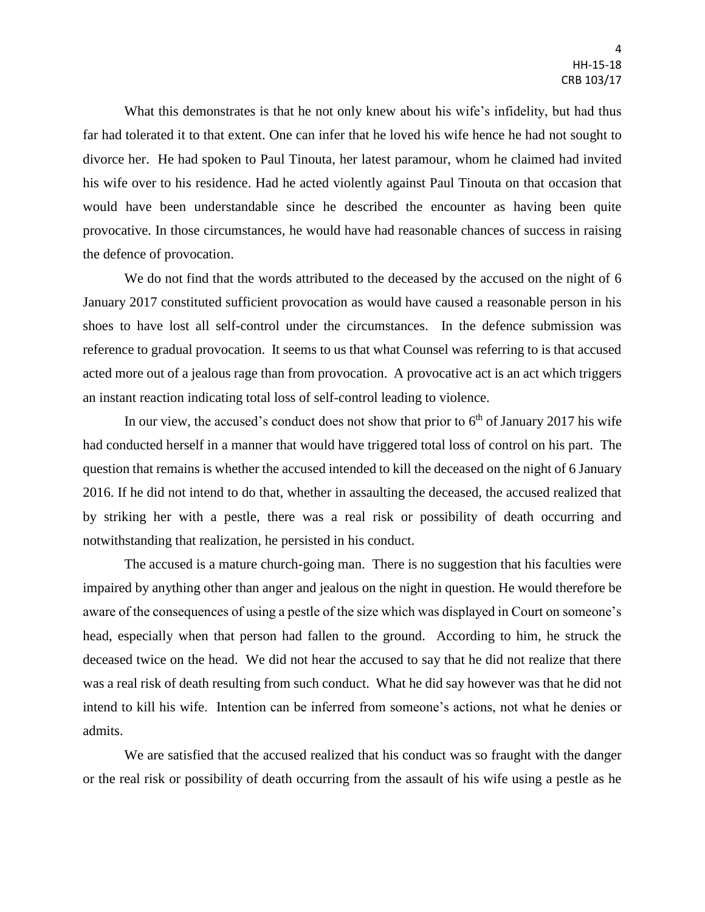What this demonstrates is that he not only knew about his wife's infidelity, but had thus far had tolerated it to that extent. One can infer that he loved his wife hence he had not sought to divorce her. He had spoken to Paul Tinouta, her latest paramour, whom he claimed had invited his wife over to his residence. Had he acted violently against Paul Tinouta on that occasion that would have been understandable since he described the encounter as having been quite provocative. In those circumstances, he would have had reasonable chances of success in raising the defence of provocation.

We do not find that the words attributed to the deceased by the accused on the night of 6 January 2017 constituted sufficient provocation as would have caused a reasonable person in his shoes to have lost all self-control under the circumstances. In the defence submission was reference to gradual provocation. It seems to us that what Counsel was referring to is that accused acted more out of a jealous rage than from provocation. A provocative act is an act which triggers an instant reaction indicating total loss of self-control leading to violence.

In our view, the accused's conduct does not show that prior to  $6<sup>th</sup>$  of January 2017 his wife had conducted herself in a manner that would have triggered total loss of control on his part. The question that remains is whether the accused intended to kill the deceased on the night of 6 January 2016. If he did not intend to do that, whether in assaulting the deceased, the accused realized that by striking her with a pestle, there was a real risk or possibility of death occurring and notwithstanding that realization, he persisted in his conduct.

The accused is a mature church-going man. There is no suggestion that his faculties were impaired by anything other than anger and jealous on the night in question. He would therefore be aware of the consequences of using a pestle of the size which was displayed in Court on someone's head, especially when that person had fallen to the ground. According to him, he struck the deceased twice on the head. We did not hear the accused to say that he did not realize that there was a real risk of death resulting from such conduct. What he did say however was that he did not intend to kill his wife. Intention can be inferred from someone's actions, not what he denies or admits.

We are satisfied that the accused realized that his conduct was so fraught with the danger or the real risk or possibility of death occurring from the assault of his wife using a pestle as he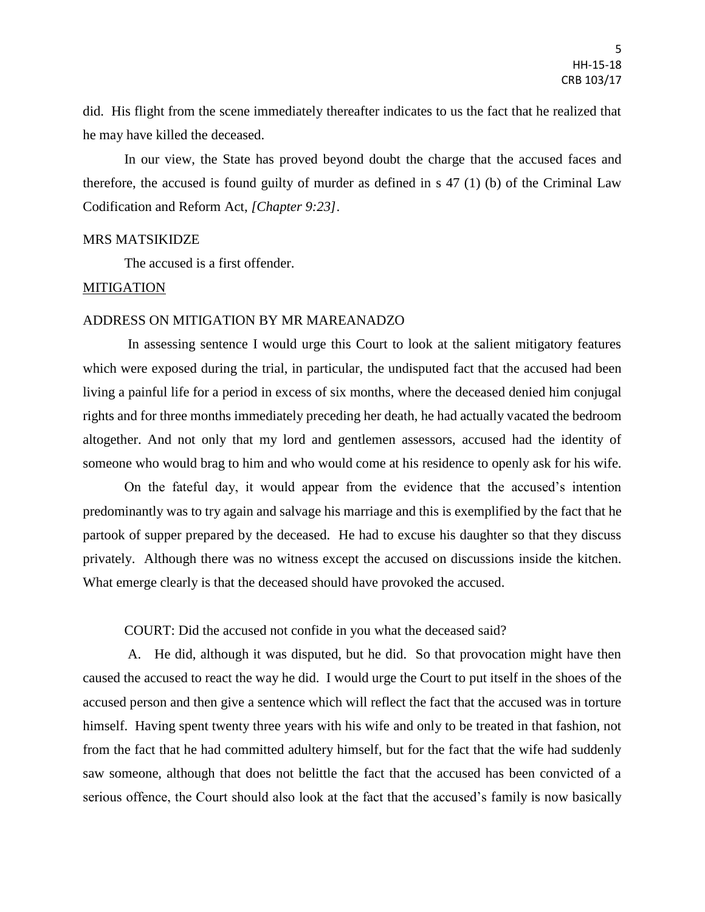did. His flight from the scene immediately thereafter indicates to us the fact that he realized that he may have killed the deceased.

In our view, the State has proved beyond doubt the charge that the accused faces and therefore, the accused is found guilty of murder as defined in s 47 (1) (b) of the Criminal Law Codification and Reform Act, *[Chapter 9:23]*.

#### MRS MATSIKIDZE

The accused is a first offender.

### MITIGATION

#### ADDRESS ON MITIGATION BY MR MAREANADZO

In assessing sentence I would urge this Court to look at the salient mitigatory features which were exposed during the trial, in particular, the undisputed fact that the accused had been living a painful life for a period in excess of six months, where the deceased denied him conjugal rights and for three months immediately preceding her death, he had actually vacated the bedroom altogether. And not only that my lord and gentlemen assessors, accused had the identity of someone who would brag to him and who would come at his residence to openly ask for his wife.

On the fateful day, it would appear from the evidence that the accused's intention predominantly was to try again and salvage his marriage and this is exemplified by the fact that he partook of supper prepared by the deceased. He had to excuse his daughter so that they discuss privately. Although there was no witness except the accused on discussions inside the kitchen. What emerge clearly is that the deceased should have provoked the accused.

## COURT: Did the accused not confide in you what the deceased said?

A. He did, although it was disputed, but he did. So that provocation might have then caused the accused to react the way he did. I would urge the Court to put itself in the shoes of the accused person and then give a sentence which will reflect the fact that the accused was in torture himself. Having spent twenty three years with his wife and only to be treated in that fashion, not from the fact that he had committed adultery himself, but for the fact that the wife had suddenly saw someone, although that does not belittle the fact that the accused has been convicted of a serious offence, the Court should also look at the fact that the accused's family is now basically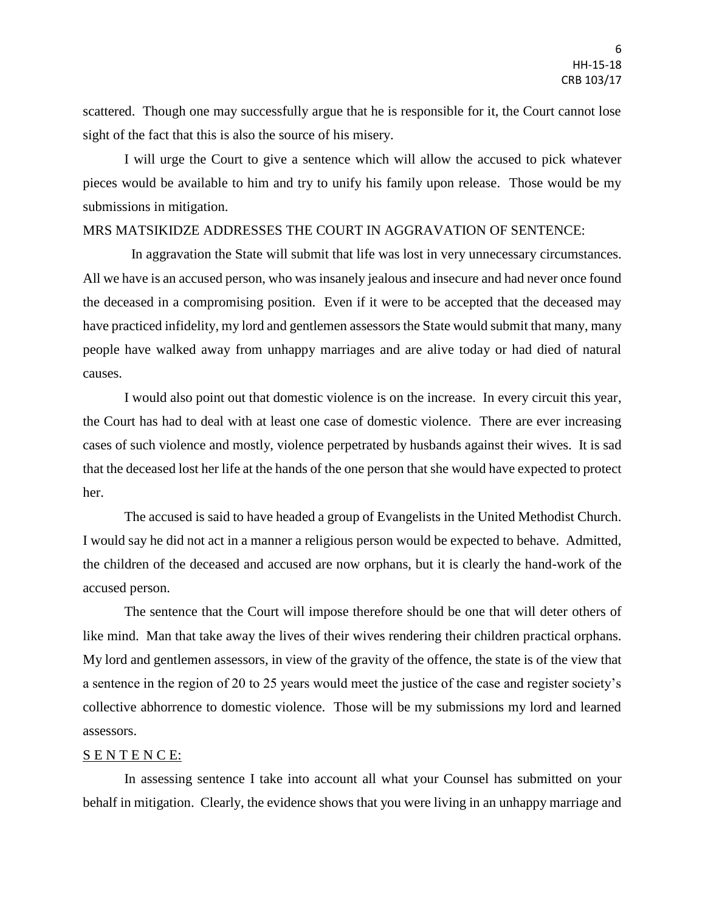scattered. Though one may successfully argue that he is responsible for it, the Court cannot lose sight of the fact that this is also the source of his misery.

I will urge the Court to give a sentence which will allow the accused to pick whatever pieces would be available to him and try to unify his family upon release. Those would be my submissions in mitigation.

# MRS MATSIKIDZE ADDRESSES THE COURT IN AGGRAVATION OF SENTENCE:

 In aggravation the State will submit that life was lost in very unnecessary circumstances. All we have is an accused person, who was insanely jealous and insecure and had never once found the deceased in a compromising position. Even if it were to be accepted that the deceased may have practiced infidelity, my lord and gentlemen assessors the State would submit that many, many people have walked away from unhappy marriages and are alive today or had died of natural causes.

I would also point out that domestic violence is on the increase. In every circuit this year, the Court has had to deal with at least one case of domestic violence. There are ever increasing cases of such violence and mostly, violence perpetrated by husbands against their wives. It is sad that the deceased lost her life at the hands of the one person that she would have expected to protect her.

The accused is said to have headed a group of Evangelists in the United Methodist Church. I would say he did not act in a manner a religious person would be expected to behave. Admitted, the children of the deceased and accused are now orphans, but it is clearly the hand-work of the accused person.

The sentence that the Court will impose therefore should be one that will deter others of like mind. Man that take away the lives of their wives rendering their children practical orphans. My lord and gentlemen assessors, in view of the gravity of the offence, the state is of the view that a sentence in the region of 20 to 25 years would meet the justice of the case and register society's collective abhorrence to domestic violence. Those will be my submissions my lord and learned assessors.

## S E N T E N C E:

In assessing sentence I take into account all what your Counsel has submitted on your behalf in mitigation. Clearly, the evidence shows that you were living in an unhappy marriage and